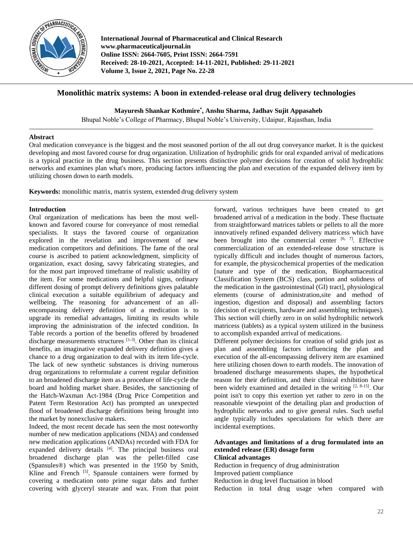

**International Journal of Pharmaceutical and Clinical Research www.pharmaceuticaljournal.in Online ISSN: 2664-7605, Print ISSN: 2664-7591 Received: 28-10-2021, Accepted: 14-11-2021, Published: 29-11-2021 Volume 3, Issue 2, 2021, Page No. 22-28**

# **Monolithic matrix systems: A boon in extended-release oral drug delivery technologies**

**Mayuresh Shankar Kothmire\* , Anshu Sharma, Jadhav Sujit Appasaheb**

Bhupal Noble's College of Pharmacy, Bhupal Noble's University, Udaipur, Rajasthan, India

## **Abstract**

Oral medication conveyance is the biggest and the most seasoned portion of the all out drug conveyance market. It is the quickest developing and most favored course for drug organization. Utilization of hydrophilic grids for oral expanded arrival of medications is a typical practice in the drug business. This section presents distinctive polymer decisions for creation of solid hydrophilic networks and examines plan what's more, producing factors influencing the plan and execution of the expanded delivery item by utilizing chosen down to earth models.

**Keywords:** monolithic matrix, matrix system, extended drug delivery system

## **Introduction**

Oral organization of medications has been the most wellknown and favored course for conveyance of most remedial specialists. It stays the favored course of organization explored in the revelation and improvement of new medication competitors and definitions. The fame of the oral course is ascribed to patient acknowledgment, simplicity of organization, exact dosing, savvy fabricating strategies, and for the most part improved timeframe of realistic usability of the item. For some medications and helpful signs, ordinary different dosing of prompt delivery definitions gives palatable clinical execution a suitable equilibrium of adequacy and wellbeing. The reasoning for advancement of an allencompassing delivery definition of a medication is to upgrade its remedial advantages, limiting its results while improving the administration of the infected condition. In Table records a portion of the benefits offered by broadened discharge measurements structures [1-3]. Other than its clinical benefits, an imaginative expanded delivery definition gives a chance to a drug organization to deal with its item life-cycle. The lack of new synthetic substances is driving numerous drug organizations to reformulate a current regular definition to an broadened discharge item as a procedure of life-cycle the board and holding market share. Besides, the sanctioning of the Hatch-Waxman Act-1984 (Drug Price Competition and Patent Term Restoration Act) has prompted an unexpected flood of broadened discharge definitions being brought into the market by nonexclusive makers.

Indeed, the most recent decade has seen the most noteworthy number of new medication applications (NDA) and condensed new medication applications (ANDAs) recorded with FDA for expanded delivery details <sup>[4]</sup>. The principal business oral broadened discharge plan was the pellet-filled case (Spansules®) which was presented in the 1950 by Smith, Kline and French  $[5]$ . Spansule containers were formed by covering a medication onto prime sugar dabs and further covering with glyceryl stearate and wax. From that point forward, various techniques have been created to get broadened arrival of a medication in the body. These fluctuate from straightforward matrices tablets or pellets to all the more innovatively refined expanded delivery matricess which have been brought into the commercial center  $[6, 7]$ . Effective commercialization of an extended-release dose structure is typically difficult and includes thought of numerous factors, for example, the physicochemical properties of the medication [nature and type of the medication, Biopharmaceutical Classification System (BCS) class, portion and solidness of the medication in the gastrointestinal (GI) tract], physiological elements (course of administration,site and method of ingestion, digestion and disposal) and assembling factors (decision of excipients, hardware and assembling techniques). This section will chiefly zero in on solid hydrophilic network matricess (tablets) as a typical system utilized in the business to accomplish expanded arrival of medications.

Different polymer decisions for creation of solid grids just as plan and assembling factors influencing the plan and execution of the all-encompassing delivery item are examined here utilizing chosen down to earth models. The innovation of broadened discharge measurements shapes, the hypothetical reason for their definition, and their clinical exhibition have been widely examined and detailed in the writing  $[2, 8-15]$ . Our point isn't to copy this exertion yet rather to zero in on the reasonable viewpoint of the detailing plan and production of hydrophilic networks and to give general rules. Such useful angle typically includes speculations for which there are incidental exemptions.

#### **Advantages and limitations of a drug formulated into an extended release (ER) dosage form Clinical advantages**

Reduction in frequency of drug administration Improved patient compliance Reduction in drug level fluctuation in blood Reduction in total drug usage when compared with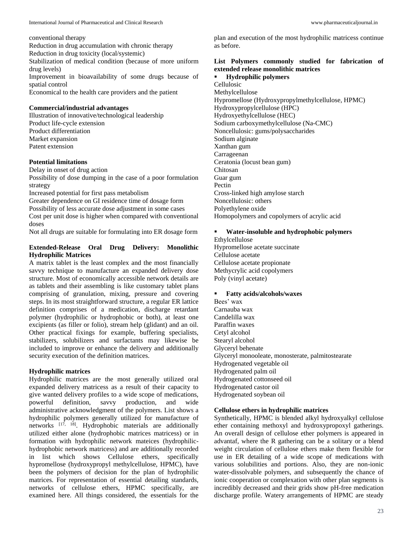conventional therapy Reduction in drug accumulation with chronic therapy Reduction in drug toxicity (local/systemic) Stabilization of medical condition (because of more uniform drug levels) Improvement in bioavailability of some drugs because of spatial control Economical to the health care providers and the patient

### **Commercial/industrial advantages**

Illustration of innovative/technological leadership Product life-cycle extension Product differentiation Market expansion Patent extension

### **Potential limitations**

Delay in onset of drug action

Possibility of dose dumping in the case of a poor formulation strategy

Increased potential for first pass metabolism

Greater dependence on GI residence time of dosage form Possibility of less accurate dose adjustment in some cases Cost per unit dose is higher when compared with conventional doses

Not all drugs are suitable for formulating into ER dosage form

### **Extended-Release Oral Drug Delivery: Monolithic Hydrophilic Matrices**

A matrix tablet is the least complex and the most financially savvy technique to manufacture an expanded delivery dose structure. Most of economically accessible network details are as tablets and their assembling is like customary tablet plans comprising of granulation, mixing, pressure and covering steps. In its most straightforward structure, a regular ER lattice definition comprises of a medication, discharge retardant polymer (hydrophilic or hydrophobic or both), at least one excipients (as filler or folio), stream help (glidant) and an oil. Other practical fixings for example, buffering specialists, stabilizers, solubilizers and surfactants may likewise be included to improve or enhance the delivery and additionally security execution of the definition matrices.

### **Hydrophilic matrices**

Hydrophilic matrices are the most generally utilized oral expanded delivery matricess as a result of their capacity to give wanted delivery profiles to a wide scope of medications, powerful definition, savvy production, and wide administrative acknowledgment of the polymers. List shows a hydrophilic polymers generally utilized for manufacture of networks  $[17, 18]$ . Hydrophobic materials are additionally utilized either alone (hydrophobic matrices matricess) or in formation with hydrophilic network mateices (hydrophilichydrophobic network matricess) and are additionally recorded in list which shows Cellulose ethers, specifically hypromellose (hydroxypropyl methylcellulose, HPMC), have been the polymers of decision for the plan of hydrophilic matrices. For representation of essential detailing standards, networks of cellulose ethers, HPMC specifically, are examined here. All things considered, the essentials for the

plan and execution of the most hydrophilic matricess continue as before.

## **List Polymers commonly studied for fabrication of extended release monolithic matrices**

 **Hydrophilic polymers** Cellulosic Methylcellulose Hypromellose (Hydroxypropylmethylcellulose, HPMC) Hydroxypropylcellulose (HPC) Hydroxyethylcellulose (HEC) Sodium carboxymethylcellulose (Na-CMC) Noncellulosic: gums/polysaccharides Sodium alginate Xanthan gum Carrageenan Ceratonia (locust bean gum) Chitosan Guar gum Pectin Cross-linked high amylose starch Noncellulosic: others Polyethylene oxide Homopolymers and copolymers of acrylic acid

### **Water-insoluble and hydrophobic polymers**

Ethylcellulose Hypromellose acetate succinate Cellulose acetate Cellulose acetate propionate Methycrylic acid copolymers Poly (vinyl acetate)

## **Fatty acids/alcohols/waxes**

Bees' wax Carnauba wax Candelilla wax Paraffin waxes Cetyl alcohol Stearyl alcohol Glyceryl behenate Glyceryl monooleate, monosterate, palmitostearate Hydrogenated vegetable oil Hydrogenated palm oil Hydrogenated cottonseed oil Hydrogenated castor oil Hydrogenated soybean oil

## **Cellulose ethers in hydrophilic matrices**

Synthetically, HPMC is blended alkyl hydroxyalkyl cellulose ether containing methoxyl and hydroxypropoxyl gatherings. An overall design of cellulose ether polymers is appeared in advantaf, where the R gathering can be a solitary or a blend weight circulation of cellulose ethers make them flexible for use in ER detailing of a wide scope of medications with various solubilities and portions. Also, they are non-ionic water-dissolvable polymers, and subsequently the chance of ionic cooperation or complexation with other plan segments is incredibly decreased and their grids show pH-free medication discharge profile. Watery arrangements of HPMC are steady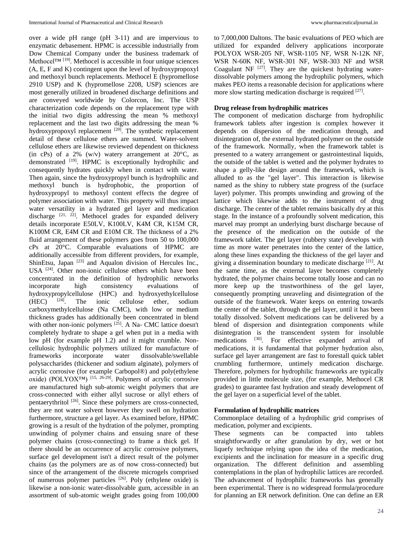over a wide pH range (pH 3-11) and are impervious to enzymatic debasement. HPMC is accessible industrially from Dow Chemical Company under the business trademark of Methocel™ [19]. Methocel is accessible in four unique sciences (A, E, F and K) contingent upon the level of hydroxypropoxyl and methoxyl bunch replacements. Methocel E (hypromellose 2910 USP) and K (hypromellose 2208, USP) sciences are most generally utilized in broadened discharge definitions and are conveyed worldwide by Colorcon, Inc. The USP characterization code depends on the replacement type with the initial two digits addressing the mean % methoxyl replacement and the last two digits addressing the mean % hydroxypropoxyl replacement <sup>[20]</sup>. The synthetic replacement detail of these cellulose ethers are summed. Water-solvent cellulose ethers are likewise reviewed dependent on thickness (in cPs) of a 2% (w/v) watery arrangement at  $20^{\circ}$ C, as demonstrated <sup>[19]</sup>. HPMC is exceptionally hydrophilic and consequently hydrates quickly when in contact with water. Then again, since the hydroxypropyl bunch is hydrophilic and methoxyl bunch is hydrophobic, the proportion of hydroxypropyl to methoxyl content effects the degree of polymer association with water. This property will thus impact water versatility in a hydrated gel layer and medication discharge  $[21, 22]$ . Methocel grades for expanded delivery details incorporate E50LV, K100LV, K4M CR, K15M CR, K100M CR, E4M CR and E10M CR. The thickness of a 2% fluid arrangement of these polymers goes from 50 to 100,000 cPs at 20°C. Comparable evaluations of HPMC are additionally accessible from different providers, for example, ShinEtsu, Japan <sup>[23]</sup> and Aqualon division of Hercules Inc., USA [24]. Other non-ionic cellulose ethers which have been concentrated in the definition of hydrophilic networks incorporate high consistency evaluations of hydroxypropylcellulose (HPC) and hydroxyethylcellulose  $(HPC)$  and hydroxyethylcellulose  $(HPC)$  and  $HEC$ )  $(HEC)$  <sup>[24]</sup>. The ionic cellulose ether, sodium carboxymethylcellulose (Na CMC), with low or medium thickness grades has additionally been concentrated in blend with other non-ionic polymers <sup>[25]</sup>. A Na- CMC lattice doesn't completely hydrate to shape a gel when put in a media with low pH (for example pH 1.2) and it might crumble. Noncellulosic hydrophilic polymers utilized for manufacture of frameworks incorporate water dissolvable/swellable polysaccharides (thickener and sodium alginate), polymers of acrylic corrosive (for example Carbopol®) and poly(ethylene oxide) (POLYOX™) [15, 26-29]. Polymers of acrylic corrosive are manufactured high sub-atomic weight polymers that are cross-connected with either allyl sucrose or allyl ethers of pentaerythritol<sup>[26]</sup>. Since these polymers are cross-connected, they are not water solvent however they swell on hydration furthermore, structure a gel layer. As examined before, HPMC growing is a result of the hydration of the polymer, prompting unwinding of polymer chains and ensuing snare of these polymer chains (cross-connecting) to frame a thick gel. If there should be an occurrence of acrylic corrosive polymers, surface gel development isn't a direct result of the polymer chains (as the polymers are as of now cross-connected) but since of the arrangement of the discrete microgels comprised of numerous polymer particles [26]. Poly (ethylene oxide) is likewise a non-ionic water-dissolvable gum, accessible in an assortment of sub-atomic weight grades going from 100,000

to 7,000,000 Daltons. The basic evaluations of PEO which are utilized for expanded delivery applications incorporate POLYOX WSR-205 NF, WSR-1105 NF, WSR N-12K NF, WSR N-60K NF, WSR-301 NF, WSR-303 NF and WSR Coagulant NF  $^{[27]}$ . They are the quickest hydrating waterdissolvable polymers among the hydrophilic polymers, which makes PEO items a reasonable decision for applications where more slow starting medication discharge is required <sup>[27]</sup>.

## **Drug release from hydrophilic matrices**

The component of medication discharge from hydrophilic framework tablets after ingestion is complex however it depends on dispersion of the medication through, and disintegration of, the external hydrated polymer on the outside of the framework. Normally, when the framework tablet is presented to a watery arrangement or gastrointestinal liquids, the outside of the tablet is wetted and the polymer hydrates to shape a gelly-like design around the framework, which is alluded to as the "gel layer". This interaction is likewise named as the shiny to rubbery state progress of the (surface layer) polymer. This prompts unwinding and growing of the lattice which likewise adds to the instrument of drug discharge. The center of the tablet remains basically dry at this stage. In the instance of a profoundly solvent medication, this marvel may prompt an underlying burst discharge because of the presence of the medication on the outside of the framework tablet. The gel layer (rubbery state) develops with time as more water penetrates into the center of the lattice, along these lines expanding the thickness of the gel layer and giving a dissemination boundary to medicate discharge [21]. At the same time, as the external layer becomes completely hydrated, the polymer chains become totally loose and can no more keep up the trustworthiness of the gel layer, consequently prompting unraveling and disintegration of the outside of the framework. Water keeps on entering towards the center of the tablet, through the gel layer, until it has been totally dissolved. Solvent medications can be delivered by a blend of dispersion and disintegration components while disintegration is the transcendent system for insoluble medications <sup>[30]</sup>. For effective expanded arrival of medications, it is fundamental that polymer hydration also, surface gel layer arrangement are fast to forestall quick tablet crumbling furthermore, untimely medication discharge. Therefore, polymers for hydrophilic frameworks are typically provided in little molecule size, (for example, Methocel CR grades) to guarantee fast hydration and steady development of the gel layer on a superficial level of the tablet.

#### **Formulation of hydrophilic matrices**

Commonplace detailing of a hydrophilic grid comprises of medication, polymer and excipients.

These segments can be compacted into tablets straightforwardly or after granulation by dry, wet or hot liquefy technique relying upon the idea of the medication, excipients and the inclination for measure in a specific drug organization. The different definition and assembling contemplations in the plan of hydrophilic lattices are recorded. The advancement of hydrophilic frameworks has generally been experimental. There is no widespread formula/procedure for planning an ER network definition. One can define an ER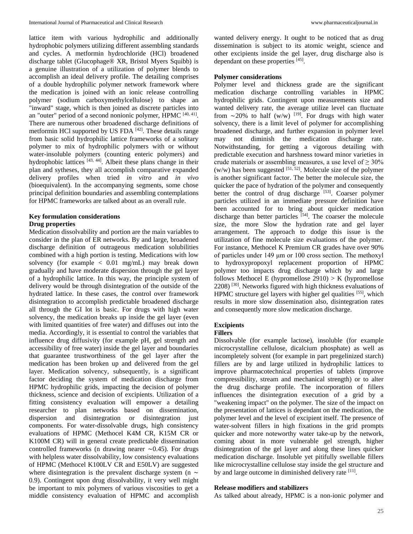lattice item with various hydrophilic and additionally hydrophobic polymers utilizing different assembling standards and cycles. A metformin hydrochloride (HCl) broadened discharge tablet (Glucophage® XR, Bristol Myers Squibb) is a genuine illustration of a utilization of polymer blends to accomplish an ideal delivery profile. The detailing comprises of a double hydrophilic polymer network framework where the medication is joined with an ionic release controlling polymer (sodium carboxymethylcellulose) to shape an "inward" stage, which is then joined as discrete particles into an "outer" period of a second nonionic polymer,  $HPMC$ <sup>[40, 41]</sup>. There are numerous other broadened discharge definitions of metformin HCl supported by US FDA [42]. These details range from basic solid hydrophilic lattice frameworks of a solitary polymer to mix of hydrophilic polymers with or without water-insoluble polymers (counting enteric polymers) and hydrophobic lattices  $[43, 44]$ . Albeit these plans change in their plan and sytheses, they all accomplish comparative expanded delivery profiles when tried *in vitro* and *in vivo* (bioequivalent). In the accompanying segments, some chose principal definition boundaries and assembling contemplations for HPMC frameworks are talked about as an overall rule.

#### **Key formulation considerations Drug properties**

Medication dissolvability and portion are the main variables to consider in the plan of ER networks. By and large, broadened discharge definition of outrageous medication solubilities combined with a high portion is testing. Medications with low solvency (for example  $< 0.01$  mg/mL) may break down gradually and have moderate dispersion through the gel layer of a hydrophilic lattice. In this way, the principle system of delivery would be through disintegration of the outside of the hydrated lattice. In these cases, the control over framework disintegration to accomplish predictable broadened discharge all through the GI lot is basic. For drugs with high water solvency, the medication breaks up inside the gel layer (even with limited quantities of free water) and diffuses out into the media. Accordingly, it is essential to control the variables that influence drug diffusivity (for example pH, gel strength and accessibility of free water) inside the gel layer and boundaries that guarantee trustworthiness of the gel layer after the medication has been broken up and delivered from the gel layer. Medication solvency, subsequently, is a significant factor deciding the system of medication discharge from HPMC hydrophilic grids, impacting the decision of polymer thickness, science and decision of excipients. Utilization of a fitting consistency evaluation will empower a detailing researcher to plan networks based on dissemination, dispersion and disintegration or disintegration just components. For water-dissolvable drugs, high consistency evaluations of HPMC (Methocel K4M CR, K15M CR or K100M CR) will in general create predictable dissemination controlled frameworks (n drawing nearer ∼0.45). For drugs with helpless water dissolvability, low consistency evaluations of HPMC (Methocel K100LV CR and E50LV) are suggested where disintegration is the prevalent discharge system (n ∼ 0.9). Contingent upon drug dissolvability, it very well might be important to mix polymers of various viscosities to get a middle consistency evaluation of HPMC and accomplish wanted delivery energy. It ought to be noticed that as drug dissemination is subject to its atomic weight, science and other excipients inside the gel layer, drug discharge also is dependant on these properties [45].

#### **Polymer considerations**

Polymer level and thickness grade are the significant medication discharge controlling variables in HPMC hydrophilic grids. Contingent upon measurements size and wanted delivery rate, the average utilize level can fluctuate from ∼20% to half (w/w) <sup>[19]</sup>. For drugs with high water solvency, there is a limit level of polymer for accomplishing broadened discharge, and further expansion in polymer level may not diminish the medication discharge rate. Notwithstanding, for getting a vigorous detailing with predictable execution and harshness toward minor varieties in crude materials or assembling measures, a use level of  $\geq 30\%$  $(w/w)$  has been suggested  $[51, 52]$ . Molecule size of the polymer is another significant factor. The better the molecule size, the quicker the pace of hydration of the polymer and consequently better the control of drug discharge [53]. Coarser polymer particles utilized in an immediate pressure definition have been accounted for to bring about quicker medication discharge than better particles [54]. The coarser the molecule size, the more Slow the hydration rate and gel layer arrangement. The approach to dodge this issue is the utilization of fine molecule size evaluations of the polymer. For instance, Methocel K Premium CR grades have over 90% of particles under 149 μm or 100 cross section. The methoxyl to hydroxypropoxyl replacement proportion of HPMC polymer too impacts drug discharge which by and large follows Methocel E (hypromellose  $2910$ ) > K (hypromellose 2208) [30]. Networks figured with high thickness evaluations of HPMC structure gel layers with higher gel qualities [55], which results in more slow dissemination also, disintegration rates and consequently more slow medication discharge.

#### **Excipients**

#### **Fillers**

Dissolvable (for example lactose), insoluble (for example microcrystalline cellulose, dicalcium phosphate) as well as incompletely solvent (for example in part pregelinized starch) fillers are by and large utilized in hydrophilic lattices to improve pharmacotechnical properties of tablets (improve compressibility, stream and mechanical strength) or to alter the drug discharge profile. The incorporation of fillers influences the disintegration execution of a grid by a "weakening impact" on the polymer. The size of the impact on the presentation of lattices is dependant on the medication, the polymer level and the level of excipient itself. The presence of water-solvent fillers in high fixations in the grid prompts quicker and more noteworthy water take-up by the network, coming about in more vulnerable gel strength, higher disintegration of the gel layer and along these lines quicker medication discharge. Insoluble yet pitifully swellable fillers like microcrystalline cellulose stay inside the gel structure and by and large outcome in diminished delivery rate [11].

#### **Release modifiers and stabilizers**

As talked about already, HPMC is a non-ionic polymer and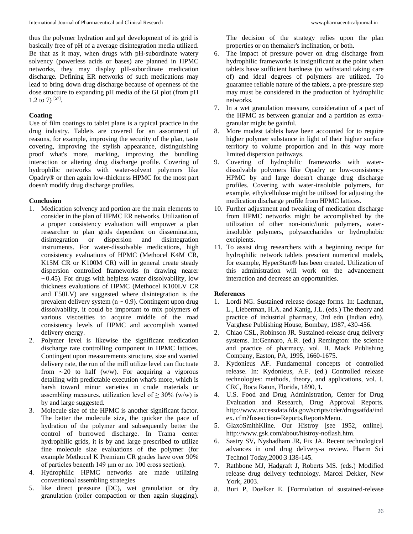thus the polymer hydration and gel development of its grid is basically free of pH of a average disintegration media utilized. Be that as it may, when drugs with pH-subordinate watery solvency (powerless acids or bases) are planned in HPMC networks, they may display pH-subordinate medication discharge. Defining ER networks of such medications may lead to bring down drug discharge because of openness of the dose structure to expanding pH media of the GI plot (from pH 1.2 to 7)  $[57]$ .

## **Coating**

Use of film coatings to tablet plans is a typical practice in the drug industry. Tablets are covered for an assortment of reasons, for example, improving the security of the plan, taste covering, improving the stylish appearance, distinguishing proof what's more, marking, improving the bundling interaction or altering drug discharge profile. Covering of hydrophilic networks with water-solvent polymers like Opadry® or then again low-thickness HPMC for the most part doesn't modify drug discharge profiles.

## **Conclusion**

- 1. Medication solvency and portion are the main elements to consider in the plan of HPMC ER networks. Utilization of a proper consistency evaluation will empower a plan researcher to plan grids dependent on dissemination, disintegration or dispersion and disintegration instruments. For water-dissolvable medications, high consistency evaluations of HPMC (Methocel K4M CR, K15M CR or K100M CR) will in general create steady dispersion controlled frameworks (n drawing nearer ∼0.45). For drugs with helpless water dissolvability, low thickness evaluations of HPMC (Methocel K100LV CR and E50LV) are suggested where disintegration is the prevalent delivery system ( $n \sim 0.9$ ). Contingent upon drug dissolvability, it could be important to mix polymers of various viscosities to acquire middle of the road consistency levels of HPMC and accomplish wanted delivery energy.
- 2. Polymer level is likewise the significant medication discharge rate controlling component in HPMC lattices. Contingent upon measurements structure, size and wanted delivery rate, the run of the mill utilize level can fluctuate from  $\sim$ 20 to half (w/w). For acquiring a vigorous detailing with predictable execution what's more, which is harsh toward minor varieties in crude materials or assembling measures, utilization level of  $\geq$  30% (w/w) is by and large suggested.
- 3. Molecule size of the HPMC is another significant factor. The better the molecule size, the quicker the pace of hydration of the polymer and subsequently better the control of burrowed discharge. In Trama center hydrophilic grids, it is by and large prescribed to utilize fine molecule size evaluations of the polymer (for example Methocel K Premium CR grades have over 90% of particles beneath 149 μm or no. 100 cross section).
- 4. Hydrophilic HPMC networks are made utilizing conventional assembling strategies
- 5. like direct pressure (DC), wet granulation or dry granulation (roller compaction or then again slugging).

The decision of the strategy relies upon the plan properties or on themaker's inclination, or both.

- 6. The impact of pressure power on drug discharge from hydrophilic frameworks is insignificant at the point when tablets have sufficient hardness (to withstand taking care of) and ideal degrees of polymers are utilized. To guarantee reliable nature of the tablets, a pre-pressure step may must be considered in the production of hydrophilic networks.
- 7. In a wet granulation measure, consideration of a part of the HPMC as between granular and a partition as extragranular might be gainful.
- 8. More modest tablets have been accounted for to require higher polymer substance in light of their higher surface territory to volume proportion and in this way more limited dispersion pathways.
- 9. Covering of hydrophilic frameworks with waterdissolvable polymers like Opadry or low-consistency HPMC by and large doesn't change drug discharge profiles. Covering with water-insoluble polymers, for example, ethylcellulose might be utilized for adjusting the medication discharge profile from HPMC lattices.
- 10. Further adjustment and tweaking of medication discharge from HPMC networks might be accomplished by the utilization of other non-ionic/ionic polymers, waterinsoluble polymers, polysaccharides or hydrophobic excipients.
- 11. To assist drug researchers with a beginning recipe for hydrophilic network tablets prescient numerical models, for example, HyperStart® has been created. Utilization of this administration will work on the advancement interaction and decrease an opportunities.

## **References**

- 1. Lordi NG. Sustained release dosage forms. In: Lachman, L., Lieberman, H.A. and Kanig, J.L. (eds.) The theory and practice of industrial pharmacy, 3rd edn (Indian edn). Varghese Publishing House, Bombay, 1987, 430*-*456.
- 2. Chiao CSL, Robinson JR*.* Sustained-release drug delivery systems. In:Gennaro, A.R. (ed.) Remington: the science and practice of pharmacy, vol. II. Mack Publishing Company, Easton, PA, 1995, 1660*-*1675.
- 3. Kydonieus AF. Fundamental concepts of controlled release. In: Kydonieus, A.F. (ed.) Controlled release technologies: methods, theory, and applications, vol. I. CRC, Boca Raton, Florida, 1890, 1*.*
- 4. U.S. Food and Drug Administration, Center for Drug Evaluation and Research, Drug Approval Reports. http://www.accessdata.fda.gov/scripts/cder/drugsatfda/ind ex. cfm?fuseaction=Reports.ReportsMenu.
- 5. GlaxoSmithKline. Our Histroy [see 1952, online]. http://www.gsk.com/about/histroy-noflash.htm.
- 6. Sastry SV*,* Nyshadham JR*,* Fix JA. Recent technological advances in oral drug delivery-a review. Pharm Sci Technol Today,2000:3:138*-*145.
- 7. Rathbone MJ, Hadgraft J, Roberts MS. (eds.) Modified release drug delivery technology. Marcel Dekker, New York, 2003.
- 8. Buri P, Doelker E. [Formulation of sustained-release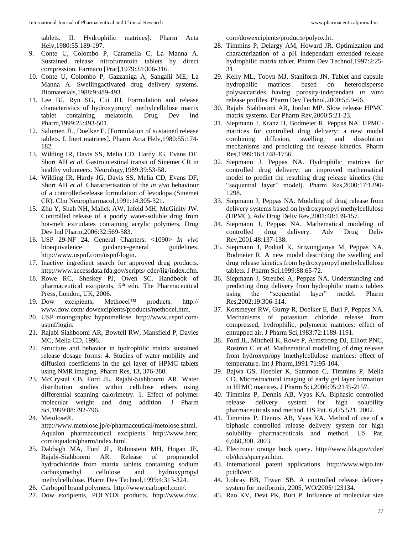tablets. II. Hydrophilic matrices]. Pharm Acta Helv,1980:55:189-197.

- 9. Conte U, Colombo P, Caramella C, La Manna A. Sustained release nitrofurantoin tablets by direct compression. Farmaco [Prat],1979:34:306-316.
- 10. Conte U, Colombo P, Gazzaniga A, Sangalli ME, La Manna A. Swellingactivated drug delivery systems. Biomaterials,1988:9:489-493.
- 11. Lee BJ, Ryu SG, Cui JH. Formulation and release characteristics of hydroxypropyl methylcellulose matrix tablet containing melatonin. Drug Dev Ind Pharm,1999:25:493-501.
- 12. Salomen JL, Doelker E. [Formulation of sustained release tablets. I. Inert matrices]. Pharm Acta Helv,1980:55:174- 182.
- 13. Wilding IR, Davis SS, Melia CD, Hardy JG, Evans DF. Short AH *et al*. Gastrointestinal transit of Sinemet CR in healthy volunteers. Neurology,1989:39:53-58.
- 14. Wilding IR, Hardy JG, Davis SS, Melia CD, Evans DF, Short AH *et al*. Characterisation of the *in vivo* behaviour of a controlled-release formulation of levodopa (Sinemet CR). Clin Neuropharmacol,1991:14:305-321.
- 15. Zhu Y, Shah NH, Malick AW, Infeld MH, McGinity JW. Controlled release of a poorly water-soluble drug from hot-melt extrudates containing acrylic polymers. Drug Dev Ind Pharm,2006:32:569-583.
- 16. USP 29-NF 24. General Chapters: <1090> *In vivo* bioequivalence guidance-general guidelines. http://www.uspnf.com/uspnf/login.
- 17. Inactive ingredient search for approved drug products. http://www.accessdata.fda.gov/scripts/ cder/iig/index.cfm.
- 18. Rowe RC, Sheskey PJ, Owen SC. Handbook of pharmaceutical excipients, 5<sup>th</sup> edn. The Pharmaceutical Press, London, UK, 2006.
- 19. Dow excipients, Methocel™ products. http:// www.dow.com/ dowexcipients/products/methocel.htm.
- 20. USP monographs: hypromellose. http://www.uspnf.com/ uspnf/login.
- 21. Rajabi Siahboomi AR, Bowtell RW, Mansfield P, Davies MC, Melia CD, 1996.
- 22. Structure and behavior in hydrophilic matrix sustained release dosage forms: 4. Studies of water mobility and diffusion coefficients in the gel layer of HPMC tablets using NMR imaging. Pharm Res, 13, 376-380.
- 23. McCrystal CB, Ford JL, Rajabi-Siahboomi AR. Water distribution studies within cellulose ethers using differential scanning calorimetry. 1. Effect of polymer molecular weight and drug addition. J Pharm Sci,1999:88:792-796.
- 24. Metolose®. http://www.metolose.jp/e/pharmaceutical/metolose.shtml. Aqualon pharmaceutical excipients. http://www.herc. com/aqualon/pharm/index.html.
- 25. Dabbagh MA, Ford JL, Rubinstein MH, Hogan JE, Rajabi-Siahboomi AR. Release of propranolol hydrochloride from matrix tablets containing sodium carboxymethyl cellulose and hydroxypropyl methylcellulose. Pharm Dev Technol,1999:4:313-324.
- 26. Carbopol brand polymers. http://www.carbopol.com/.
- 27. Dow excipients, POLYOX products. http://www.dow.

com/dowexcipients/products/polyox.ht.

- 28. Timmins P, Delargy AM, Howard JR. Optimization and characterization of a pH independant extended release hydrophilic matrix tablet. Pharm Dev Technol,1997:2:25- 31.
- 29. Kelly ML, Tobyn MJ, Staniforth JN. Tablet and capsule hydrophilic matrices based on heterodisperse polysaccarides having porosity-independant *in vitro* release profiles. Pharm Dev Technol,2000:5:59-66.
- 30. Rajabi Siahboomi AR, Jordan MP. Slow release HPMC matrix systems. Eur Pharm Rev,2000:5:21-23.
- 31. Siepmann J, Kranz H, Bodmeier R, Peppas NA. HPMCmatrices for controlled drug delivery: a new model combining diffusion, swelling, and dissolution mechanisms and predicting the release kinetics. Pharm Res,1999:16:1748-1756.
- 32. Siepmann J, Peppas NA. Hydrophilic matrices for controlled drug delivery: an improved mathematical model to predict the resulting drug release kinetics (the "sequential layer" model). Pharm Res,2000:17:1290- 1298.
- 33. Siepmann J, Peppas NA. Modeling of drug release from delivery systems based on hydroxypropyl methylcellulose (HPMC). Adv Drug Deliv Rev,2001:48:139-157.
- 34. Siepmann J, Peppas NA. Mathematical modeling of controlled drug delivery. Adv Drug Deliv Rev,2001:48:137-138.
- 35. Siepmann J, Podual K, Sriwongjanya M, Peppas NA, Bodmeier R. A new model describing the swelling and drug release kinetics from hydroxypropyl methylcellulose tablets. J Pharm Sci,1999:88:65-72.
- 36. Siepmann J, Streubel A, Peppas NA. Understanding and predicting drug delivery from hydrophilic matrix tablets using the "sequential layer" model. Pharm Res,2002:19:306-314.
- 37. Korsmeyer RW, Gurny R, Doelker E, Buri P, Peppas NA. Mechanisms of potassium chloride release from compressed, hydrophilic, polymeric matrices: effect of entrapped air. J Pharm Sci,1983:72:1189-1191.
- 38. Ford JL, Mitchell K, Rowe P, Armstrong DJ, Elliott PNC, Rostron C *et al*. Mathematical modelling of drug release from hydroxypropy lmethylcellulose matrices: effect of temperature. Int J Pharm,1991:71:95-104.
- 39. Bajwa GS, Hoebler K, Sammon C, Timmins P, Melia CD. Microstructural imaging of early gel layer formation in HPMC matrices. J Pharm Sci,2006:95:2145-2157.
- 40. Timmins P, Dennis AB, Vyas KA. Biphasic controlled release delivery system for high solubility pharmaceuticals and method. US Pat. 6,475,521, 2002.
- 41. Timmins P, Dennis AB, Vyas KA. Method of use of a biphasic controlled release delivery system for high solubility pharmaceuticals and method. US Pat. 6,660,300, 2003.
- 42. Electronic orange book query. http://www.fda.gov/cder/ ob/docs/queryai.htm.
- 43. International patent applications. http://www.wipo.int/ pctdb/en/.
- 44. Lohray BB, Tiwari SB. A controlled release delivery system for metformin, 2005. WO/2005/123134.
- 45. Rao KV, Devi PK, Buri P. Influence of molecular size